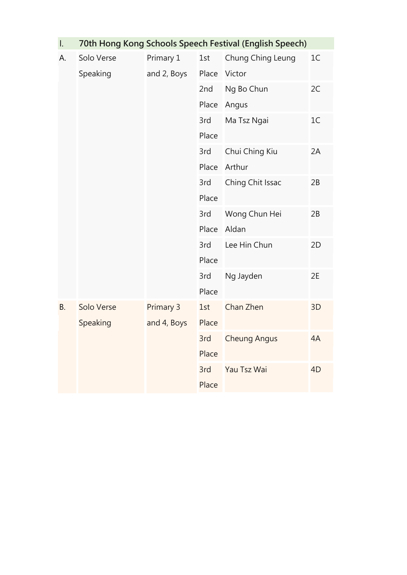| Ι.        | 70th Hong Kong Schools Speech Festival (English Speech) |             |       |                     |                |  |  |
|-----------|---------------------------------------------------------|-------------|-------|---------------------|----------------|--|--|
| А.        | Solo Verse                                              | Primary 1   | 1st   | Chung Ching Leung   | 1 <sup>C</sup> |  |  |
|           | Speaking                                                | and 2, Boys | Place | Victor              |                |  |  |
|           |                                                         |             | 2nd   | Ng Bo Chun          | 2C             |  |  |
|           |                                                         |             | Place | Angus               |                |  |  |
|           |                                                         |             | 3rd   | Ma Tsz Ngai         | 1C             |  |  |
|           |                                                         |             | Place |                     |                |  |  |
|           |                                                         |             | 3rd   | Chui Ching Kiu      | 2A             |  |  |
|           |                                                         |             | Place | Arthur              |                |  |  |
|           |                                                         |             | 3rd   | Ching Chit Issac    | 2B             |  |  |
|           |                                                         |             | Place |                     |                |  |  |
|           |                                                         |             | 3rd   | Wong Chun Hei       | 2B             |  |  |
|           |                                                         |             | Place | Aldan               |                |  |  |
|           |                                                         |             | 3rd   | Lee Hin Chun        | 2D             |  |  |
|           |                                                         |             | Place |                     |                |  |  |
|           |                                                         |             | 3rd   | Ng Jayden           | 2E             |  |  |
|           |                                                         |             | Place |                     |                |  |  |
| <b>B.</b> | Solo Verse                                              | Primary 3   | 1st   | Chan Zhen           | 3D             |  |  |
|           | Speaking                                                | and 4, Boys | Place |                     |                |  |  |
|           |                                                         |             | 3rd   | <b>Cheung Angus</b> | 4A             |  |  |
|           |                                                         |             | Place |                     |                |  |  |
|           |                                                         |             | 3rd   | Yau Tsz Wai         | 4 <sub>D</sub> |  |  |
|           |                                                         |             | Place |                     |                |  |  |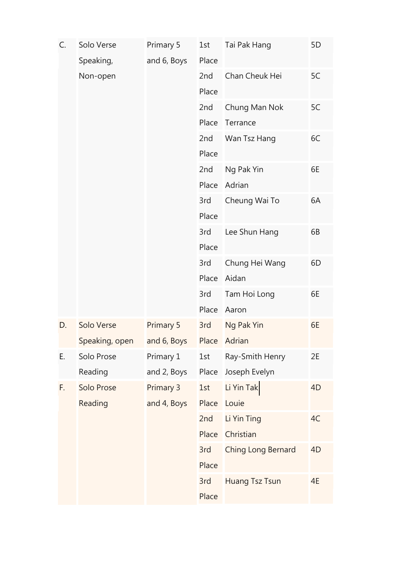| C. | Solo Verse     | Primary 5   | 1st   | Tai Pak Hang          | 5D             |
|----|----------------|-------------|-------|-----------------------|----------------|
|    | Speaking,      | and 6, Boys | Place |                       |                |
|    | Non-open       |             | 2nd   | Chan Cheuk Hei        | 5C             |
|    |                |             | Place |                       |                |
|    |                |             | 2nd   | Chung Man Nok         | 5C             |
|    |                |             | Place | Terrance              |                |
|    |                |             | 2nd   | Wan Tsz Hang          | 6C             |
|    |                |             | Place |                       |                |
|    |                |             | 2nd   | Ng Pak Yin            | 6E             |
|    |                |             | Place | Adrian                |                |
|    |                |             | 3rd   | Cheung Wai To         | 6A             |
|    |                |             | Place |                       |                |
|    |                |             | 3rd   | Lee Shun Hang         | 6B             |
|    |                |             | Place |                       |                |
|    |                |             | 3rd   | Chung Hei Wang        | 6D             |
|    |                |             | Place | Aidan                 |                |
|    |                |             | 3rd   | Tam Hoi Long          | 6E             |
|    |                |             | Place | Aaron                 |                |
| D. | Solo Verse     | Primary 5   | 3rd   | Ng Pak Yin            | 6E             |
|    | Speaking, open | and 6, Boys | Place | Adrian                |                |
| Е. | Solo Prose     | Primary 1   | 1st   | Ray-Smith Henry       | 2E             |
|    | Reading        | and 2, Boys | Place | Joseph Evelyn         |                |
| F. | Solo Prose     | Primary 3   | 1st   | Li Yin Tak            | 4 <sub>D</sub> |
|    | Reading        | and 4, Boys | Place | Louie                 |                |
|    |                |             | 2nd   | Li Yin Ting           | 4C             |
|    |                |             | Place | Christian             |                |
|    |                |             | 3rd   | Ching Long Bernard    | 4 <sub>D</sub> |
|    |                |             | Place |                       |                |
|    |                |             | 3rd   | <b>Huang Tsz Tsun</b> | 4E             |
|    |                |             | Place |                       |                |